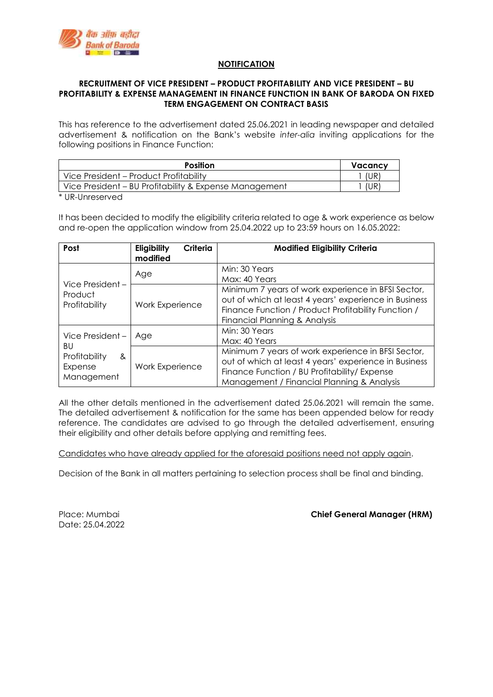

## **NOTIFICATION**

## **RECRUITMENT OF VICE PRESIDENT – PRODUCT PROFITABILITY AND VICE PRESIDENT – BU PROFITABILITY & EXPENSE MANAGEMENT IN FINANCE FUNCTION IN BANK OF BARODA ON FIXED TERM ENGAGEMENT ON CONTRACT BASIS**

This has reference to the advertisement dated 25.06.2021 in leading newspaper and detailed advertisement & notification on the Bank's website *inter-alia* inviting applications for the following positions in Finance Function:

| <b>Position</b>                                        | Vacancy |
|--------------------------------------------------------|---------|
| Vice President - Product Profitability                 | (UR)    |
| Vice President – BU Profitability & Expense Management | (UR)    |

\* UR-Unreserved

It has been decided to modify the eligibility criteria related to age & work experience as below and re-open the application window from 25.04.2022 up to 23:59 hours on 16.05.2022:

| Post                                                                 | Eligibility<br>Criteria<br>modified | <b>Modified Eligibility Criteria</b>                                                                                                                                                                      |
|----------------------------------------------------------------------|-------------------------------------|-----------------------------------------------------------------------------------------------------------------------------------------------------------------------------------------------------------|
|                                                                      | Age                                 | Min: 30 Years<br>Max: 40 Years                                                                                                                                                                            |
| Vice President -<br>Product<br>Profitability                         | <b>Work Experience</b>              | Minimum 7 years of work experience in BFSI Sector,<br>out of which at least 4 years' experience in Business<br>Finance Function / Product Profitability Function /<br>Financial Planning & Analysis       |
| Vice President-<br>BU<br>Profitability<br>&<br>Expense<br>Management | Age                                 | Min: 30 Years<br>Max: 40 Years                                                                                                                                                                            |
|                                                                      | <b>Work Experience</b>              | Minimum 7 years of work experience in BFSI Sector,<br>out of which at least 4 years' experience in Business<br>Finance Function / BU Profitability/ Expense<br>Management / Financial Planning & Analysis |

All the other details mentioned in the advertisement dated 25.06.2021 will remain the same. The detailed advertisement & notification for the same has been appended below for ready reference. The candidates are advised to go through the detailed advertisement, ensuring their eligibility and other details before applying and remitting fees.

Candidates who have already applied for the aforesaid positions need not apply again.

Decision of the Bank in all matters pertaining to selection process shall be final and binding.

Date: 25.04.2022

Place: Mumbai **Chief General Manager (HRM)**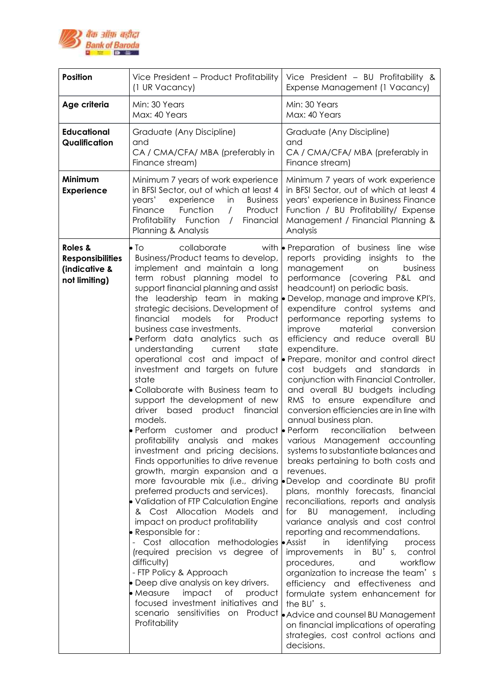

| <b>Position</b>                                                      | Vice President - Product Profitability<br>(1 UR Vacancy)                                                                                                                                                                                                                                                                                                                                                                                                                                                                                                                                                                                                                                                                                                                                                                                                                                                                                                                                                                                                                                                                                                                                               | Vice President - BU Profitability &<br>Expense Management (1 Vacancy)                                                                                                                                                                                                                                                                                                                                                                                                                                                                                                                                                                                                                                                                                                                                                                                                                                                                                                                                                                                                                                                                                                                                                                                                                                                                                                                                                                                                                                                                                          |
|----------------------------------------------------------------------|--------------------------------------------------------------------------------------------------------------------------------------------------------------------------------------------------------------------------------------------------------------------------------------------------------------------------------------------------------------------------------------------------------------------------------------------------------------------------------------------------------------------------------------------------------------------------------------------------------------------------------------------------------------------------------------------------------------------------------------------------------------------------------------------------------------------------------------------------------------------------------------------------------------------------------------------------------------------------------------------------------------------------------------------------------------------------------------------------------------------------------------------------------------------------------------------------------|----------------------------------------------------------------------------------------------------------------------------------------------------------------------------------------------------------------------------------------------------------------------------------------------------------------------------------------------------------------------------------------------------------------------------------------------------------------------------------------------------------------------------------------------------------------------------------------------------------------------------------------------------------------------------------------------------------------------------------------------------------------------------------------------------------------------------------------------------------------------------------------------------------------------------------------------------------------------------------------------------------------------------------------------------------------------------------------------------------------------------------------------------------------------------------------------------------------------------------------------------------------------------------------------------------------------------------------------------------------------------------------------------------------------------------------------------------------------------------------------------------------------------------------------------------------|
| Age criteria                                                         | Min: 30 Years<br>Max: 40 Years                                                                                                                                                                                                                                                                                                                                                                                                                                                                                                                                                                                                                                                                                                                                                                                                                                                                                                                                                                                                                                                                                                                                                                         | Min: 30 Years<br>Max: 40 Years                                                                                                                                                                                                                                                                                                                                                                                                                                                                                                                                                                                                                                                                                                                                                                                                                                                                                                                                                                                                                                                                                                                                                                                                                                                                                                                                                                                                                                                                                                                                 |
| <b>Educational</b><br>Qualification                                  | Graduate (Any Discipline)<br>and<br>CA / CMA/CFA/ MBA (preferably in<br>Finance stream)                                                                                                                                                                                                                                                                                                                                                                                                                                                                                                                                                                                                                                                                                                                                                                                                                                                                                                                                                                                                                                                                                                                | Graduate (Any Discipline)<br>and<br>CA / CMA/CFA/ MBA (preferably in<br>Finance stream)                                                                                                                                                                                                                                                                                                                                                                                                                                                                                                                                                                                                                                                                                                                                                                                                                                                                                                                                                                                                                                                                                                                                                                                                                                                                                                                                                                                                                                                                        |
| Minimum<br><b>Experience</b>                                         | Minimum 7 years of work experience<br>in BFSI Sector, out of which at least 4<br>years'<br>experience<br>in<br><b>Business</b><br>Function<br>Product<br>Finance<br>$\sqrt{2}$<br>Profitability Function<br>Financial<br>$\sqrt{2}$<br>Planning & Analysis                                                                                                                                                                                                                                                                                                                                                                                                                                                                                                                                                                                                                                                                                                                                                                                                                                                                                                                                             | Minimum 7 years of work experience<br>in BFSI Sector, out of which at least 4<br>years' experience in Business Finance<br>Function / BU Profitability/ Expense<br>Management / Financial Planning &<br>Analysis                                                                                                                                                                                                                                                                                                                                                                                                                                                                                                                                                                                                                                                                                                                                                                                                                                                                                                                                                                                                                                                                                                                                                                                                                                                                                                                                                |
| Roles &<br><b>Responsibilities</b><br>(indicative &<br>not limiting) | $\bullet$ To<br>collaborate<br>Business/Product teams to develop,<br>implement and maintain a long<br>term robust planning model to<br>support financial planning and assist<br>the leadership team in making<br>strategic decisions. Development of<br>financial<br>models<br>for<br>Product<br>business case investments.<br>· Perform data analytics such as<br>understanding<br>current<br>state<br>investment and targets on future<br>state<br>• Collaborate with Business team to<br>support the development of new<br>driver<br>based product financial<br>models.<br>Perform customer and product <b>P</b> erform reconciliation<br>investment and pricing decisions.<br>Finds opportunities to drive revenue<br>growth, margin expansion and a<br>preferred products and services).<br>• Validation of FTP Calculation Engine<br>& Cost Allocation Models and<br>impact on product profitability<br>$\bullet$ Responsible for :<br>Cost allocation methodologies Assist<br>(required precision vs degree of<br>difficulty)<br>- FTP Policy & Approach<br>• Deep dive analysis on key drivers.<br>impact<br>• Measure<br>Оf<br>product<br>focused investment initiatives and<br>Profitability | with <b>Preparation</b> of business line wise<br>reports providing insights to<br>the<br>management<br>business<br>on<br>performance (covering P&L and<br>headcount) on periodic basis.<br>Develop, manage and improve KPI's,<br>expenditure control systems and<br>performance reporting systems to<br>material<br>improve<br>conversion<br>efficiency and reduce overall BU<br>expenditure.<br>operational cost and impact of <b>Prepare</b> , monitor and control direct<br>cost budgets and<br>standards in<br>conjunction with Financial Controller,<br>and overall BU budgets including<br>RMS to ensure expenditure and<br>conversion efficiencies are in line with<br>annual business plan.<br>between<br>profitability analysis and makes various Management accounting<br>systems to substantiate balances and<br>breaks pertaining to both costs and<br>revenues.<br>more favourable mix (i.e., driving Develop and coordinate BU profit<br>plans, monthly forecasts, financial<br>reconciliations, reports and analysis<br>management, including<br>for<br>BU<br>variance analysis and cost control<br>reporting and recommendations.<br>identifying<br>in<br>process<br>improvements<br>in BU's, control<br>workflow<br>procedures,<br>and<br>organization to increase the team's<br>efficiency and effectiveness and<br>formulate system enhancement for<br>the $BU'$ s.<br>scenario sensitivities on Product   Advice and counsel BU Management<br>on financial implications of operating<br>strategies, cost control actions and<br>decisions. |